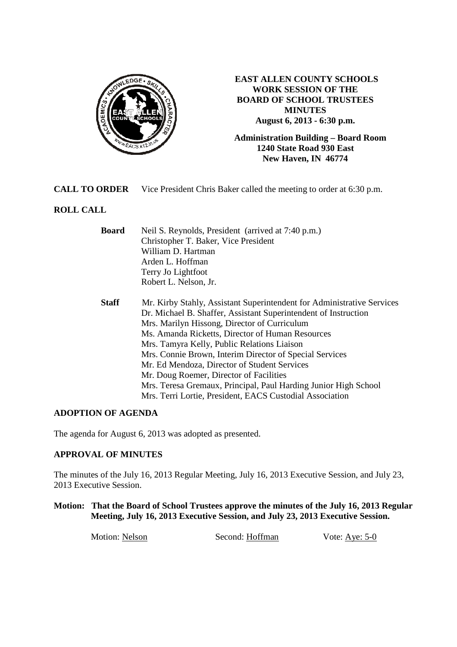

**EAST ALLEN COUNTY SCHOOLS WORK SESSION OF THE BOARD OF SCHOOL TRUSTEES MINUTES August 6, 2013 - 6:30 p.m.** 

**Administration Building – Board Room 1240 State Road 930 East New Haven, IN 46774**

**CALL TO ORDER** Vice President Chris Baker called the meeting to order at 6:30 p.m.

## **ROLL CALL**

| <b>Board</b> | Neil S. Reynolds, President (arrived at 7:40 p.m.)                     |
|--------------|------------------------------------------------------------------------|
|              | Christopher T. Baker, Vice President                                   |
|              | William D. Hartman                                                     |
|              | Arden L. Hoffman                                                       |
|              | Terry Jo Lightfoot                                                     |
|              | Robert L. Nelson, Jr.                                                  |
| <b>Staff</b> | Mr. Kirby Stahly, Assistant Superintendent for Administrative Services |
|              | Dr. Michael B. Shaffer, Assistant Superintendent of Instruction        |
|              | Mrs. Marilyn Hissong, Director of Curriculum                           |
|              | Ms. Amanda Ricketts, Director of Human Resources                       |
|              | Mrs. Tamyra Kelly, Public Relations Liaison                            |
|              | Mrs. Connie Brown, Interim Director of Special Services                |
|              | Mr. Ed Mendoza, Director of Student Services                           |
|              | Mr. Doug Roemer, Director of Facilities                                |
|              | Mrs. Teresa Gremaux, Principal, Paul Harding Junior High School        |
|              | Mrs. Terri Lortie, President, EACS Custodial Association               |

## **ADOPTION OF AGENDA**

The agenda for August 6, 2013 was adopted as presented.

#### **APPROVAL OF MINUTES**

The minutes of the July 16, 2013 Regular Meeting, July 16, 2013 Executive Session, and July 23, 2013 Executive Session.

**Motion: That the Board of School Trustees approve the minutes of the July 16, 2013 Regular Meeting, July 16, 2013 Executive Session, and July 23, 2013 Executive Session.**

Motion: Nelson Second: Hoffman Vote: Aye: 5-0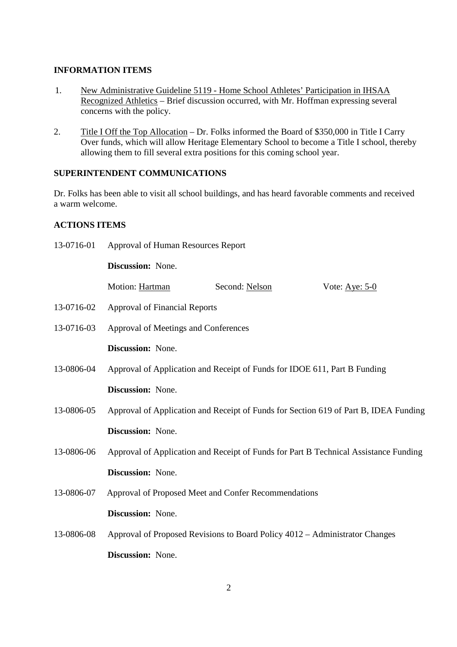#### **INFORMATION ITEMS**

- 1. New Administrative Guideline 5119 Home School Athletes' Participation in IHSAA Recognized Athletics – Brief discussion occurred, with Mr. Hoffman expressing several concerns with the policy.
- 2. Title I Off the Top Allocation Dr. Folks informed the Board of \$350,000 in Title I Carry Over funds, which will allow Heritage Elementary School to become a Title I school, thereby allowing them to fill several extra positions for this coming school year.

## **SUPERINTENDENT COMMUNICATIONS**

Dr. Folks has been able to visit all school buildings, and has heard favorable comments and received a warm welcome.

### **ACTIONS ITEMS**

| 13-0716-01 | Approval of Human Resources Report   |                                                                                      |                                                                                      |
|------------|--------------------------------------|--------------------------------------------------------------------------------------|--------------------------------------------------------------------------------------|
|            | Discussion: None.                    |                                                                                      |                                                                                      |
|            | Motion: Hartman                      | Second: Nelson                                                                       | Vote: $\underline{\text{Aye: } 5-0}$                                                 |
| 13-0716-02 | <b>Approval of Financial Reports</b> |                                                                                      |                                                                                      |
| 13-0716-03 | Approval of Meetings and Conferences |                                                                                      |                                                                                      |
|            | Discussion: None.                    |                                                                                      |                                                                                      |
| 13-0806-04 |                                      | Approval of Application and Receipt of Funds for IDOE 611, Part B Funding            |                                                                                      |
|            | Discussion: None.                    |                                                                                      |                                                                                      |
| 13-0806-05 |                                      |                                                                                      | Approval of Application and Receipt of Funds for Section 619 of Part B, IDEA Funding |
|            | Discussion: None.                    |                                                                                      |                                                                                      |
| 13-0806-06 |                                      | Approval of Application and Receipt of Funds for Part B Technical Assistance Funding |                                                                                      |
|            | Discussion: None.                    |                                                                                      |                                                                                      |
| 13-0806-07 |                                      | Approval of Proposed Meet and Confer Recommendations                                 |                                                                                      |
|            | Discussion: None.                    |                                                                                      |                                                                                      |
| 13-0806-08 |                                      | Approval of Proposed Revisions to Board Policy 4012 – Administrator Changes          |                                                                                      |
|            | Discussion: None.                    |                                                                                      |                                                                                      |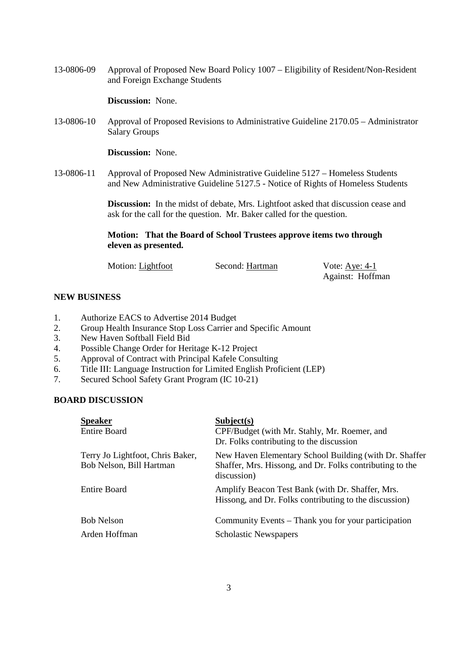13-0806-09 Approval of Proposed New Board Policy 1007 – Eligibility of Resident/Non-Resident and Foreign Exchange Students

**Discussion:** None.

13-0806-10 Approval of Proposed Revisions to Administrative Guideline 2170.05 – Administrator Salary Groups

**Discussion:** None.

13-0806-11 Approval of Proposed New Administrative Guideline 5127 – Homeless Students and New Administrative Guideline 5127.5 - Notice of Rights of Homeless Students

> **Discussion:** In the midst of debate, Mrs. Lightfoot asked that discussion cease and ask for the call for the question. Mr. Baker called for the question.

**Motion: That the Board of School Trustees approve items two through eleven as presented.** 

| Motion: Lightfoot | Second: Hartman | Vote: Aye: $4-1$ |
|-------------------|-----------------|------------------|
|                   |                 | Against: Hoffman |

#### **NEW BUSINESS**

- 1. Authorize EACS to Advertise 2014 Budget
- 2. Group Health Insurance Stop Loss Carrier and Specific Amount
- 3. New Haven Softball Field Bid
- 4. Possible Change Order for Heritage K-12 Project
- 5. Approval of Contract with Principal Kafele Consulting
- 6. Title III: Language Instruction for Limited English Proficient (LEP)
- 7. Secured School Safety Grant Program (IC 10-21)

#### **BOARD DISCUSSION**

| <b>Speaker</b><br><b>Entire Board</b>                        | Subject(s)<br>CPF/Budget (with Mr. Stahly, Mr. Roemer, and<br>Dr. Folks contributing to the discussion                            |
|--------------------------------------------------------------|-----------------------------------------------------------------------------------------------------------------------------------|
| Terry Jo Lightfoot, Chris Baker,<br>Bob Nelson, Bill Hartman | New Haven Elementary School Building (with Dr. Shaffer<br>Shaffer, Mrs. Hissong, and Dr. Folks contributing to the<br>discussion) |
| <b>Entire Board</b>                                          | Amplify Beacon Test Bank (with Dr. Shaffer, Mrs.<br>Hissong, and Dr. Folks contributing to the discussion)                        |
| <b>Bob Nelson</b>                                            | Community Events – Thank you for your participation                                                                               |
| Arden Hoffman                                                | <b>Scholastic Newspapers</b>                                                                                                      |